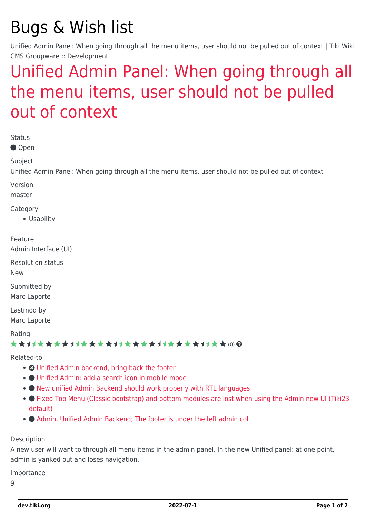# Bugs & Wish list

Unified Admin Panel: When going through all the menu items, user should not be pulled out of context | Tiki Wiki CMS Groupware :: Development

## [Unified Admin Panel: When going through all](https://dev.tiki.org/item7995-Unified-Admin-Panel-When-going-through-all-the-menu-items-user-should-not-be-pulled-out-of-context) [the menu items, user should not be pulled](https://dev.tiki.org/item7995-Unified-Admin-Panel-When-going-through-all-the-menu-items-user-should-not-be-pulled-out-of-context) [out of context](https://dev.tiki.org/item7995-Unified-Admin-Panel-When-going-through-all-the-menu-items-user-should-not-be-pulled-out-of-context)

Status

● Open

Subject

Unified Admin Panel: When going through all the menu items, user should not be pulled out of context

Version

master

Category

Usability

Feature

Admin Interface (UI)

Resolution status

New

Submitted by Marc Laporte

Lastmod by Marc Laporte

Rating

#### \*\*\*\*\*\*\*\*\*\*\*\*\*\*\*\*\*\*\*\*\*\*\*\*\*\*\*\*\*\*

Related-to

- [Unified Admin backend, bring back the footer](https://dev.tiki.org/item7991-Unified-Admin-backend-bring-back-the-footer)
- [Unified Admin: add a search icon in mobile mode](https://dev.tiki.org/item7994-Unified-Admin-add-a-search-icon-in-mobile-mode)
- $\bullet$  [New unified Admin Backend should work properly with RTL languages](https://dev.tiki.org/item7993-New-unified-Admin-Backend-should-work-properly-with-RTL-languages)
- • [Fixed Top Menu \(Classic bootstrap\) and bottom modules are lost when using the Admin new UI \(Tiki23](https://dev.tiki.org/item7814-Fixed-Top-Menu-Classic-bootstrap-and-bottom-modules-are-lost-when-using-the-Admin-new-UI-Tiki23-default) [default\)](https://dev.tiki.org/item7814-Fixed-Top-Menu-Classic-bootstrap-and-bottom-modules-are-lost-when-using-the-Admin-new-UI-Tiki23-default)
- $\bullet$  Admin, Unified Admin Backend: The footer is under the left admin col

#### Description

A new user will want to through all menu items in the admin panel. In the new Unified panel: at one point, admin is yanked out and loses navigation.

Importance

9